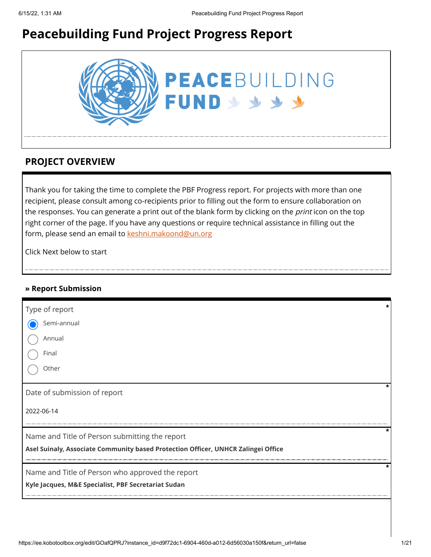# **Peacebuilding Fund Project Progress Report**



# **PROJECT OVERVIEW**

Thank you for taking the time to complete the PBF Progress report. For projects with more than one recipient, please consult among co-recipients prior to filling out the form to ensure collaboration on the responses. You can generate a print out of the blank form by clicking on the *print* icon on the top right corner of the page. If you have any questions or require technical assistance in filling out the form, please send an email to [keshni.makoond@un.org](https://ee.kobotoolbox.org/edit/keshni.makoond@un.org)

Click Next below to start

#### **» Report Submission**

| Type of report                                                                    |  |
|-----------------------------------------------------------------------------------|--|
| Semi-annual                                                                       |  |
| Annual                                                                            |  |
| Final                                                                             |  |
| Other                                                                             |  |
| Date of submission of report                                                      |  |
| 2022-06-14                                                                        |  |
| *<br>Name and Title of Person submitting the report                               |  |
| Asel Suinaly, Associate Community based Protection Officer, UNHCR Zalingei Office |  |
| Name and Title of Person who approved the report                                  |  |
| Kyle Jacques, M&E Specialist, PBF Secretariat Sudan                               |  |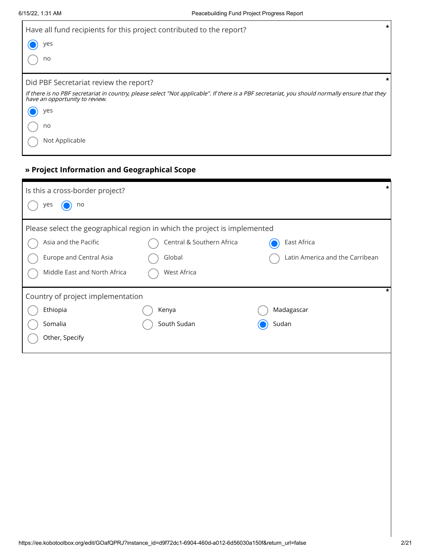| $\star$<br>Have all fund recipients for this project contributed to the report?                                                                                                  |
|----------------------------------------------------------------------------------------------------------------------------------------------------------------------------------|
| yes                                                                                                                                                                              |
| no                                                                                                                                                                               |
| $\ast$<br>Did PBF Secretariat review the report?                                                                                                                                 |
| If there is no PBF secretariat in country, please select "Not applicable". If there is a PBF secretariat, you should normally ensure that they<br>have an opportunity to review. |
| yes                                                                                                                                                                              |
| no                                                                                                                                                                               |
| Not Applicable                                                                                                                                                                   |

## **» Project Information and Geographical Scope**

| Is this a cross-border project?                                           |                           |                                 | $\star$ |
|---------------------------------------------------------------------------|---------------------------|---------------------------------|---------|
| no<br>yes                                                                 |                           |                                 |         |
| Please select the geographical region in which the project is implemented |                           |                                 |         |
| Asia and the Pacific                                                      | Central & Southern Africa | East Africa                     |         |
| Europe and Central Asia                                                   | Global                    | Latin America and the Carribean |         |
| Middle East and North Africa                                              | <b>West Africa</b>        |                                 |         |
| Country of project implementation                                         |                           |                                 | $\star$ |
| Ethiopia                                                                  | Kenya                     | Madagascar                      |         |
| Somalia                                                                   | South Sudan               | Sudan                           |         |
| Other, Specify                                                            |                           |                                 |         |
|                                                                           |                           |                                 |         |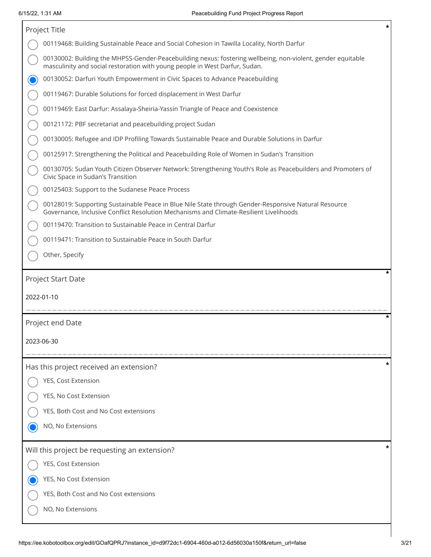|            | Project Title                                                                                                                                                                                  | $\pmb{\ast}$ |
|------------|------------------------------------------------------------------------------------------------------------------------------------------------------------------------------------------------|--------------|
|            | 00119468: Building Sustainable Peace and Social Cohesion in Tawilla Locality, North Darfur                                                                                                     |              |
|            | 00130002: Building the MHPSS-Gender-Peacebuilding nexus: fostering wellbeing, non-violent, gender equitable<br>masculinity and social restoration with young people in West Darfur, Sudan.     |              |
|            | 00130052: Darfuri Youth Empowerment in Civic Spaces to Advance Peacebuilding                                                                                                                   |              |
|            | 00119467: Durable Solutions for forced displacement in West Darfur                                                                                                                             |              |
|            | 00119469: East Darfur: Assalaya-Sheiria-Yassin Triangle of Peace and Coexistence                                                                                                               |              |
|            | 00121172: PBF secretariat and peacebuilding project Sudan                                                                                                                                      |              |
|            | 00130005: Refugee and IDP Profiling Towards Sustainable Peace and Durable Solutions in Darfur                                                                                                  |              |
|            | 00125917: Strengthening the Political and Peacebuilding Role of Women in Sudan's Transition                                                                                                    |              |
|            | 00130705: Sudan Youth Citizen Observer Network: Strengthening Youth's Role as Peacebuilders and Promoters of<br>Civic Space in Sudan's Transition                                              |              |
|            | 00125403: Support to the Sudanese Peace Process                                                                                                                                                |              |
|            | 00128019: Supporting Sustainable Peace in Blue Nile State through Gender-Responsive Natural Resource<br>Governance, Inclusive Conflict Resolution Mechanisms and Climate-Resilient Livelihoods |              |
|            | 00119470: Transition to Sustainable Peace in Central Darfur                                                                                                                                    |              |
|            | 00119471: Transition to Sustainable Peace in South Darfur                                                                                                                                      |              |
|            | Other, Specify                                                                                                                                                                                 |              |
|            | Project Start Date                                                                                                                                                                             |              |
| 2022-01-10 |                                                                                                                                                                                                |              |
|            | Project end Date                                                                                                                                                                               |              |
| 2023-06-30 |                                                                                                                                                                                                |              |
|            | Has this project received an extension?                                                                                                                                                        |              |
|            | YES, Cost Extension                                                                                                                                                                            |              |
|            | YES, No Cost Extension                                                                                                                                                                         |              |
|            | YES, Both Cost and No Cost extensions                                                                                                                                                          |              |
|            | NO, No Extensions                                                                                                                                                                              |              |
|            | Will this project be requesting an extension?                                                                                                                                                  |              |
|            | YES, Cost Extension                                                                                                                                                                            |              |
|            | YES, No Cost Extension                                                                                                                                                                         |              |
|            | YES, Both Cost and No Cost extensions                                                                                                                                                          |              |
|            | NO, No Extensions                                                                                                                                                                              |              |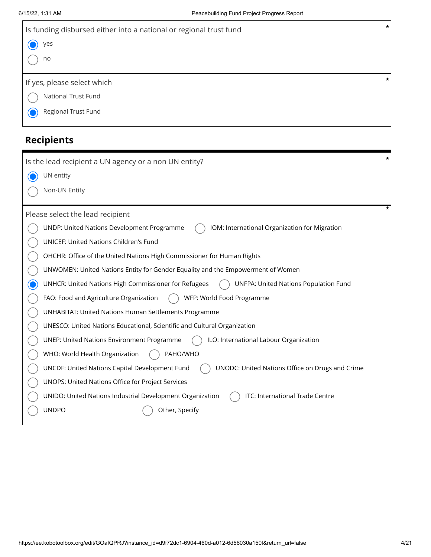| Is funding disbursed either into a national or regional trust fund | $\star$ |
|--------------------------------------------------------------------|---------|
| ) yes                                                              |         |
| no                                                                 |         |
|                                                                    |         |
|                                                                    | $\star$ |
| If yes, please select which                                        |         |
| National Trust Fund                                                |         |
| Regional Trust Fund                                                |         |

# **Recipients**

| $\pmb{\ast}$<br>Is the lead recipient a UN agency or a non UN entity?                                |
|------------------------------------------------------------------------------------------------------|
| UN entity                                                                                            |
| Non-UN Entity                                                                                        |
|                                                                                                      |
| Please select the lead recipient                                                                     |
| UNDP: United Nations Development Programme<br>IOM: International Organization for Migration          |
| UNICEF: United Nations Children's Fund                                                               |
| OHCHR: Office of the United Nations High Commissioner for Human Rights                               |
| UNWOMEN: United Nations Entity for Gender Equality and the Empowerment of Women                      |
| UNHCR: United Nations High Commissioner for Refugees<br><b>UNFPA: United Nations Population Fund</b> |
| WFP: World Food Programme<br>FAO: Food and Agriculture Organization                                  |
| <b>UNHABITAT: United Nations Human Settlements Programme</b>                                         |
| UNESCO: United Nations Educational, Scientific and Cultural Organization                             |
| <b>UNEP: United Nations Environment Programme</b><br>ILO: International Labour Organization          |
| PAHO/WHO<br>WHO: World Health Organization                                                           |
| UNODC: United Nations Office on Drugs and Crime<br>UNCDF: United Nations Capital Development Fund    |
| UNOPS: United Nations Office for Project Services                                                    |
| UNIDO: United Nations Industrial Development Organization<br>ITC: International Trade Centre         |
| <b>UNDPO</b><br>Other, Specify                                                                       |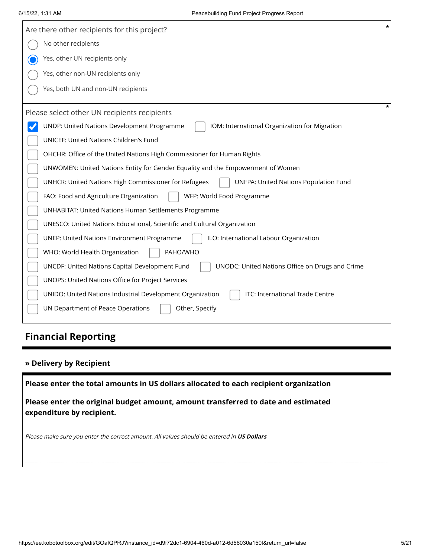| Are there other recipients for this project?                                                             |
|----------------------------------------------------------------------------------------------------------|
| No other recipients                                                                                      |
| Yes, other UN recipients only                                                                            |
| Yes, other non-UN recipients only                                                                        |
| Yes, both UN and non-UN recipients                                                                       |
| Please select other UN recipients recipients                                                             |
| UNDP: United Nations Development Programme<br>IOM: International Organization for Migration              |
| <b>UNICEF: United Nations Children's Fund</b>                                                            |
| OHCHR: Office of the United Nations High Commissioner for Human Rights                                   |
| UNWOMEN: United Nations Entity for Gender Equality and the Empowerment of Women                          |
| UNHCR: United Nations High Commissioner for Refugees<br><b>UNFPA: United Nations Population Fund</b>     |
| WFP: World Food Programme<br>FAO: Food and Agriculture Organization                                      |
| <b>UNHABITAT: United Nations Human Settlements Programme</b>                                             |
| UNESCO: United Nations Educational, Scientific and Cultural Organization                                 |
| ILO: International Labour Organization<br><b>UNEP: United Nations Environment Programme</b>              |
| WHO: World Health Organization<br>PAHO/WHO                                                               |
| <b>UNCDF: United Nations Capital Development Fund</b><br>UNODC: United Nations Office on Drugs and Crime |
| UNOPS: United Nations Office for Project Services                                                        |
| ITC: International Trade Centre<br>UNIDO: United Nations Industrial Development Organization             |
| UN Department of Peace Operations<br>Other, Specify                                                      |

# **Financial Reporting**

#### **» Delivery by Recipient**

**Please enter the total amounts in US dollars allocated to each recipient organization**

**Please enter the original budget amount, amount transferred to date and estimated expenditure by recipient.**

Please make sure you enter the correct amount. All values should be entered in **US Dollars**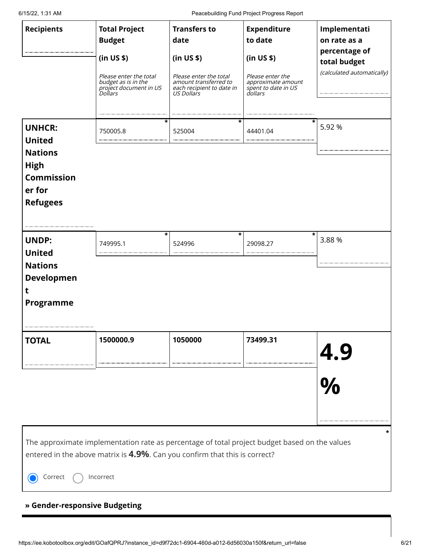6/15/22, 1:31 AM Peacebuilding Fund Project Progress Report

|                   |                                                                                               |                                                 | I caccounding I drive Folcoc Frogress Report                  |                               |
|-------------------|-----------------------------------------------------------------------------------------------|-------------------------------------------------|---------------------------------------------------------------|-------------------------------|
| <b>Recipients</b> | <b>Total Project</b>                                                                          | <b>Transfers to</b>                             | <b>Expenditure</b>                                            | Implementati                  |
|                   | <b>Budget</b>                                                                                 | date                                            | to date                                                       | on rate as a                  |
|                   | (in US \$)                                                                                    | (in US \$)                                      | (in US \$)                                                    | percentage of<br>total budget |
|                   | Please enter the total<br>budget as is in the<br>project document in US                       | Please enter the total<br>amount transferred to | Please enter the<br>approximate amount<br>spent to date in US | (calculated automatically)    |
|                   | <i>Dollars</i>                                                                                | each recipient to date in<br>US Dollars         | dollars                                                       |                               |
|                   |                                                                                               |                                                 |                                                               |                               |
| <b>UNHCR:</b>     | 750005.8                                                                                      | *<br>525004                                     | *<br>44401.04                                                 | 5.92 %                        |
| <b>United</b>     |                                                                                               |                                                 |                                                               |                               |
| <b>Nations</b>    |                                                                                               |                                                 |                                                               |                               |
| <b>High</b>       |                                                                                               |                                                 |                                                               |                               |
| <b>Commission</b> |                                                                                               |                                                 |                                                               |                               |
| er for            |                                                                                               |                                                 |                                                               |                               |
| <b>Refugees</b>   |                                                                                               |                                                 |                                                               |                               |
|                   |                                                                                               |                                                 |                                                               |                               |
|                   |                                                                                               |                                                 |                                                               |                               |
|                   |                                                                                               | $\star$                                         | *                                                             | *                             |
| <b>UNDP:</b>      | 749995.1                                                                                      | 524996                                          | 29098.27                                                      | 3.88%                         |
| <b>United</b>     |                                                                                               |                                                 |                                                               |                               |
| <b>Nations</b>    |                                                                                               |                                                 |                                                               |                               |
| <b>Developmen</b> |                                                                                               |                                                 |                                                               |                               |
| t                 |                                                                                               |                                                 |                                                               |                               |
| Programme         |                                                                                               |                                                 |                                                               |                               |
|                   |                                                                                               |                                                 |                                                               |                               |
|                   |                                                                                               |                                                 |                                                               |                               |
| <b>TOTAL</b>      | 1500000.9                                                                                     | 1050000                                         | 73499.31                                                      |                               |
|                   |                                                                                               |                                                 |                                                               |                               |
|                   |                                                                                               |                                                 |                                                               | $\frac{4.9}{\%}$              |
|                   |                                                                                               |                                                 |                                                               |                               |
|                   |                                                                                               |                                                 |                                                               |                               |
|                   |                                                                                               |                                                 |                                                               |                               |
|                   |                                                                                               |                                                 |                                                               |                               |
|                   |                                                                                               |                                                 |                                                               |                               |
|                   |                                                                                               |                                                 |                                                               | *                             |
|                   | The approximate implementation rate as percentage of total project budget based on the values |                                                 |                                                               |                               |
|                   | entered in the above matrix is 4.9%. Can you confirm that this is correct?                    |                                                 |                                                               |                               |
|                   |                                                                                               |                                                 |                                                               |                               |
| Correct           | Incorrect                                                                                     |                                                 |                                                               |                               |
|                   |                                                                                               |                                                 |                                                               |                               |

## **» Gender-responsive Budgeting**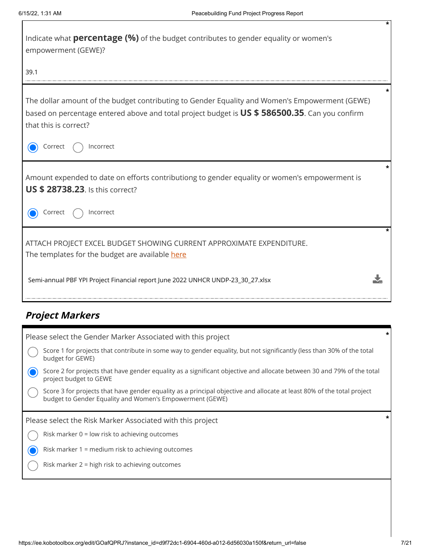| Indicate what <b>percentage (%)</b> of the budget contributes to gender equality or women's<br>empowerment (GEWE)?                                                                                                        |         |
|---------------------------------------------------------------------------------------------------------------------------------------------------------------------------------------------------------------------------|---------|
| 39.1                                                                                                                                                                                                                      |         |
| The dollar amount of the budget contributing to Gender Equality and Women's Empowerment (GEWE)<br>based on percentage entered above and total project budget is US \$ 586500.35. Can you confirm<br>that this is correct? | $\star$ |
| Correct<br>Incorrect                                                                                                                                                                                                      |         |
| Amount expended to date on efforts contributiong to gender equality or women's empowerment is<br><b>US \$ 28738.23.</b> Is this correct?                                                                                  | *       |
| Incorrect<br>Correct                                                                                                                                                                                                      |         |
| ATTACH PROJECT EXCEL BUDGET SHOWING CURRENT APPROXIMATE EXPENDITURE.<br>The templates for the budget are available here                                                                                                   | $\star$ |
| Semi-annual PBF YPI Project Financial report June 2022 UNHCR UNDP-23_30_27.xlsx                                                                                                                                           |         |

# **Project Markers**

| Please select the Gender Marker Associated with this project                                                                                                                       | * |
|------------------------------------------------------------------------------------------------------------------------------------------------------------------------------------|---|
| Score 1 for projects that contribute in some way to gender equality, but not significantly (less than 30% of the total<br>budget for GEWE)                                         |   |
| Score 2 for projects that have gender equality as a significant objective and allocate between 30 and 79% of the total<br>project budget to GEWE                                   |   |
| Score 3 for projects that have gender equality as a principal objective and allocate at least 80% of the total project<br>budget to Gender Equality and Women's Empowerment (GEWE) |   |
| Please select the Risk Marker Associated with this project                                                                                                                         |   |
| Risk marker $0 =$ low risk to achieving outcomes                                                                                                                                   |   |
| Risk marker 1 = medium risk to achieving outcomes                                                                                                                                  |   |
| Risk marker $2 =$ high risk to achieving outcomes                                                                                                                                  |   |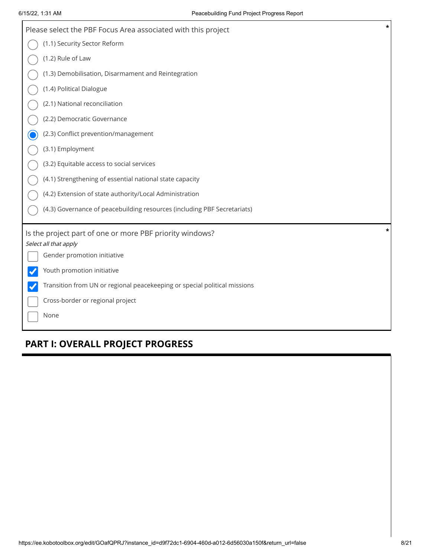| $\star$<br>Please select the PBF Focus Area associated with this project               |
|----------------------------------------------------------------------------------------|
| (1.1) Security Sector Reform                                                           |
| (1.2) Rule of Law                                                                      |
| (1.3) Demobilisation, Disarmament and Reintegration                                    |
| (1.4) Political Dialogue                                                               |
| (2.1) National reconciliation                                                          |
| (2.2) Democratic Governance                                                            |
| (2.3) Conflict prevention/management                                                   |
| (3.1) Employment                                                                       |
| (3.2) Equitable access to social services                                              |
| (4.1) Strengthening of essential national state capacity                               |
| (4.2) Extension of state authority/Local Administration                                |
| (4.3) Governance of peacebuilding resources (including PBF Secretariats)               |
| *<br>Is the project part of one or more PBF priority windows?<br>Select all that apply |
| Gender promotion initiative                                                            |
| Youth promotion initiative                                                             |
| Transition from UN or regional peacekeeping or special political missions              |
| Cross-border or regional project                                                       |
| None                                                                                   |

# **PART I: OVERALL PROJECT PROGRESS**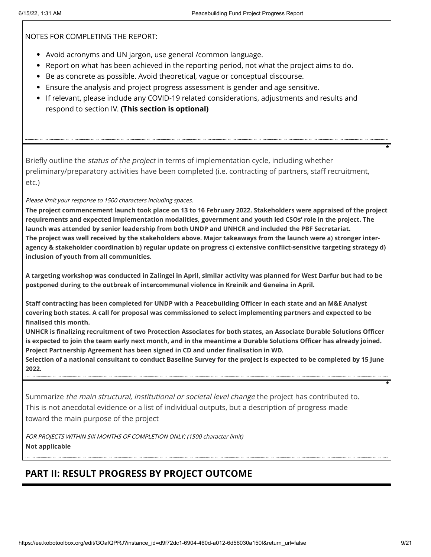NOTES FOR COMPLETING THE REPORT:

- Avoid acronyms and UN jargon, use general /common language.
- Report on what has been achieved in the reporting period, not what the project aims to do.
- **Be as concrete as possible. Avoid theoretical, vague or conceptual discourse.**
- Ensure the analysis and project progress assessment is gender and age sensitive.
- If relevant, please include any COVID-19 related considerations, adjustments and results and respond to section IV. **(This section is optional)**

Briefly outline the *status of the project* in terms of implementation cycle, including whether preliminary/preparatory activities have been completed (i.e. contracting of partners, staff recruitment, etc.)

Please limit your response to 1500 characters including spaces.

**The project commencement launch took place on 13 to 16 February 2022. Stakeholders were appraised of the project requirements and expected implementation modalities, government and youth led CSOs' role in the project. The launch was attended by senior leadership from both UNDP and UNHCR and included the PBF Secretariat. The project was well received by the stakeholders above. Major takeaways from the launch were a) stronger interagency & stakeholder coordination b) regular update on progress c) extensive conflict-sensitive targeting strategy d) inclusion of youth from all communities.**

**A targeting workshop was conducted in Zalingei in April, similar activity was planned for West Darfur but had to be postponed during to the outbreak of intercommunal violence in Kreinik and Geneina in April.** 

**Staff contracting has been completed for UNDP with a Peacebuilding Officer in each state and an M&E Analyst covering both states. A call for proposal was commissioned to select implementing partners and expected to be finalised this month.** 

**UNHCR is finalizing recruitment of two Protection Associates for both states, an Associate Durable Solutions Officer is expected to join the team early next month, and in the meantime a Durable Solutions Officer has already joined. Project Partnership Agreement has been signed in CD and under finalisation in WD.** 

**Selection of a national consultant to conduct Baseline Survey for the project is expected to be completed by 15 June 2022.**

Summarize the main structural, institutional or societal level change the project has contributed to. This is not anecdotal evidence or a list of individual outputs, but a description of progress made toward the main purpose of the project

FOR PROJECTS WITHIN SIX MONTHS OF COMPLETION ONLY; (1500 character limit) **Not applicable**

# **PART II: RESULT PROGRESS BY PROJECT OUTCOME**

**\***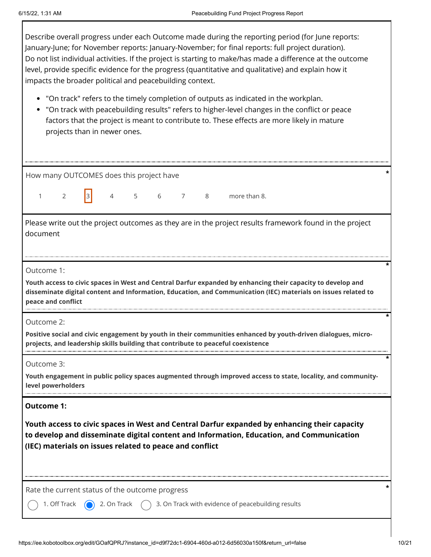$\Gamma$ 

| Describe overall progress under each Outcome made during the reporting period (for June reports:<br>January-June; for November reports: January-November; for final reports: full project duration).<br>Do not list individual activities. If the project is starting to make/has made a difference at the outcome<br>level, provide specific evidence for the progress (quantitative and qualitative) and explain how it<br>impacts the broader political and peacebuilding context.<br>• "On track" refers to the timely completion of outputs as indicated in the workplan.<br>"On track with peacebuilding results" refers to higher-level changes in the conflict or peace<br>factors that the project is meant to contribute to. These effects are more likely in mature<br>projects than in newer ones. |
|----------------------------------------------------------------------------------------------------------------------------------------------------------------------------------------------------------------------------------------------------------------------------------------------------------------------------------------------------------------------------------------------------------------------------------------------------------------------------------------------------------------------------------------------------------------------------------------------------------------------------------------------------------------------------------------------------------------------------------------------------------------------------------------------------------------|
| How many OUTCOMES does this project have                                                                                                                                                                                                                                                                                                                                                                                                                                                                                                                                                                                                                                                                                                                                                                       |
| 3<br>more than 8.<br>2<br>4<br>5<br>6<br>$7\overline{ }$<br>8<br>1                                                                                                                                                                                                                                                                                                                                                                                                                                                                                                                                                                                                                                                                                                                                             |
| Please write out the project outcomes as they are in the project results framework found in the project<br>document<br>Outcome 1:<br>Youth access to civic spaces in West and Central Darfur expanded by enhancing their capacity to develop and<br>disseminate digital content and Information, Education, and Communication (IEC) materials on issues related to<br>peace and conflict                                                                                                                                                                                                                                                                                                                                                                                                                       |
| Outcome 2:<br>Positive social and civic engagement by youth in their communities enhanced by youth-driven dialogues, micro-<br>projects, and leadership skills building that contribute to peaceful coexistence                                                                                                                                                                                                                                                                                                                                                                                                                                                                                                                                                                                                |
| Outcome 3:<br>Youth engagement in public policy spaces augmented through improved access to state, locality, and community-<br>level powerholders                                                                                                                                                                                                                                                                                                                                                                                                                                                                                                                                                                                                                                                              |
| <b>Outcome 1:</b><br>Youth access to civic spaces in West and Central Darfur expanded by enhancing their capacity<br>to develop and disseminate digital content and Information, Education, and Communication<br>(IEC) materials on issues related to peace and conflict                                                                                                                                                                                                                                                                                                                                                                                                                                                                                                                                       |
| Rate the current status of the outcome progress<br>3. On Track with evidence of peacebuilding results<br>1. Off Track<br>2. On Track                                                                                                                                                                                                                                                                                                                                                                                                                                                                                                                                                                                                                                                                           |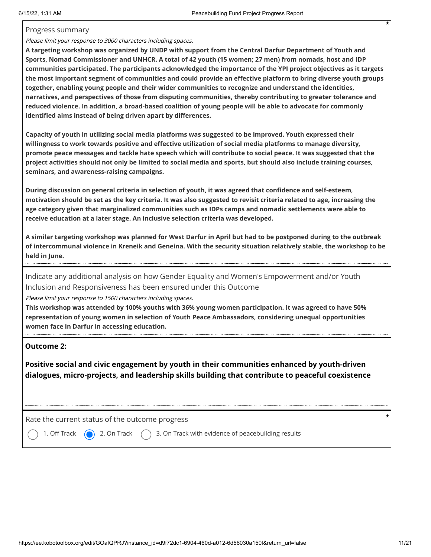#### Progress summary

Please limit your response to 3000 characters including spaces.

**A targeting workshop was organized by UNDP with support from the Central Darfur Department of Youth and Sports, Nomad Commissioner and UNHCR. A total of 42 youth (15 women; 27 men) from nomads, host and IDP communities participated. The participants acknowledged the importance of the YPI project objectives as it targets the most important segment of communities and could provide an effective platform to bring diverse youth groups together, enabling young people and their wider communities to recognize and understand the identities, narratives, and perspectives of those from disputing communities, thereby contributing to greater tolerance and reduced violence. In addition, a broad-based coalition of young people will be able to advocate for commonly identified aims instead of being driven apart by differences.**

**Capacity of youth in utilizing social media platforms was suggested to be improved. Youth expressed their willingness to work towards positive and effective utilization of social media platforms to manage diversity, promote peace messages and tackle hate speech which will contribute to social peace. It was suggested that the project activities should not only be limited to social media and sports, but should also include training courses, seminars, and awareness-raising campaigns.**

**During discussion on general criteria in selection of youth, it was agreed that confidence and self-esteem, motivation should be set as the key criteria. It was also suggested to revisit criteria related to age, increasing the age category given that marginalized communities such as IDPs camps and nomadic settlements were able to receive education at a later stage. An inclusive selection criteria was developed.** 

**A similar targeting workshop was planned for West Darfur in April but had to be postponed during to the outbreak of intercommunal violence in Kreneik and Geneina. With the security situation relatively stable, the workshop to be held in June.**

Indicate any additional analysis on how Gender Equality and Women's Empowerment and/or Youth Inclusion and Responsiveness has been ensured under this Outcome

Please limit your response to 1500 characters including spaces.

**This workshop was attended by 100% youths with 36% young women participation. It was agreed to have 50% representation of young women in selection of Youth Peace Ambassadors, considering unequal opportunities women face in Darfur in accessing education.**

#### **Outcome 2:**

**Positive social and civic engagement by youth in their communities enhanced by youth-driven dialogues, micro-projects, and leadership skills building that contribute to peaceful coexistence**

Rate the current status of the outcome progress **\***

1. Off Track  $\bigcirc$  2. On Track  $\bigcirc$  3. On Track with evidence of peacebuilding results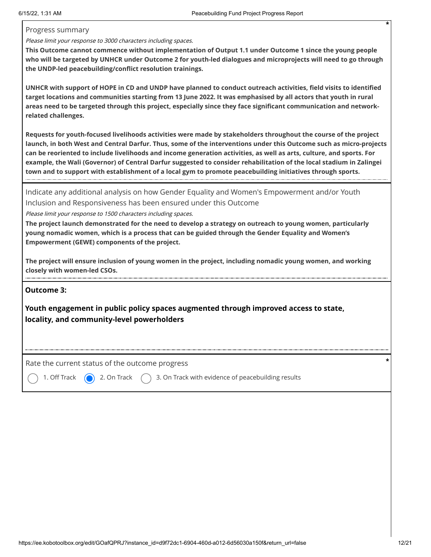#### Progress summary

Please limit your response to 3000 characters including spaces.

**This Outcome cannot commence without implementation of Output 1.1 under Outcome 1 since the young people who will be targeted by UNHCR under Outcome 2 for youth-led dialogues and microprojects will need to go through the UNDP-led peacebuilding/conflict resolution trainings.**

**UNHCR with support of HOPE in CD and UNDP have planned to conduct outreach activities, field visits to identified target locations and communities starting from 13 June 2022. It was emphasised by all actors that youth in rural areas need to be targeted through this project, especially since they face significant communication and networkrelated challenges.** 

**Requests for youth-focused livelihoods activities were made by stakeholders throughout the course of the project launch, in both West and Central Darfur. Thus, some of the interventions under this Outcome such as micro-projects can be reoriented to include livelihoods and income generation activities, as well as arts, culture, and sports. For example, the Wali (Governor) of Central Darfur suggested to consider rehabilitation of the local stadium in Zalingei town and to support with establishment of a local gym to promote peacebuilding initiatives through sports.**

Indicate any additional analysis on how Gender Equality and Women's Empowerment and/or Youth Inclusion and Responsiveness has been ensured under this Outcome

Please limit your response to 1500 characters including spaces.

**The project launch demonstrated for the need to develop a strategy on outreach to young women, particularly young nomadic women, which is a process that can be guided through the Gender Equality and Women's Empowerment (GEWE) components of the project.**

**The project will ensure inclusion of young women in the project, including nomadic young women, and working closely with women-led CSOs.**

#### **Outcome 3:**

**Youth engagement in public policy spaces augmented through improved access to state, locality, and community-level powerholders**

Rate the current status of the outcome progress **\***

1. Off Track  $\bigcirc$  2. On Track  $\bigcirc$  3. On Track with evidence of peacebuilding results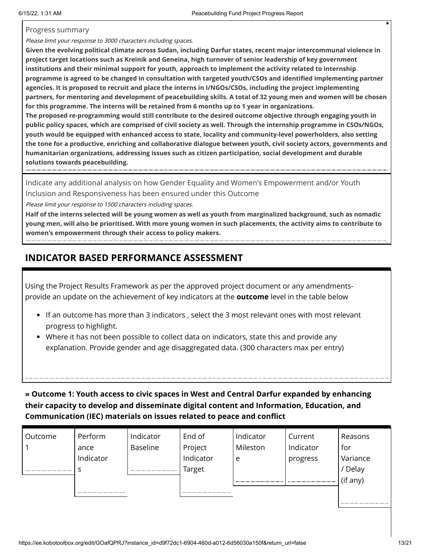#### Progress summary

Please limit your response to 3000 characters including spaces.

**Given the evolving political climate across Sudan, including Darfur states, recent major intercommunal violence in project target locations such as Kreinik and Geneina, high turnover of senior leadership of key government institutions and their minimal support for youth, approach to implement the activity related to internship programme is agreed to be changed in consultation with targeted youth/CSOs and identified implementing partner agencies. It is proposed to recruit and place the interns in I/NGOs/CSOs, including the project implementing partners, for mentoring and development of peacebuilding skills. A total of 32 young men and women will be chosen for this programme. The interns will be retained from 6 months up to 1 year in organizations.** 

**The proposed re-programming would still contribute to the desired outcome objective through engaging youth in public policy spaces, which are comprised of civil society as well. Through the internship programme in CSOs/NGOs, youth would be equipped with enhanced access to state, locality and community-level powerholders, also setting the tone for a productive, enriching and collaborative dialogue between youth, civil society actors, governments and humanitarian organizations, addressing issues such as citizen participation, social development and durable solutions towards peacebuilding.**

Indicate any additional analysis on how Gender Equality and Women's Empowerment and/or Youth Inclusion and Responsiveness has been ensured under this Outcome

Please limit your response to 1500 characters including spaces.

**Half of the interns selected will be young women as well as youth from marginalized background, such as nomadic young men, will also be prioritised. With more young women in such placements, the activity aims to contribute to women's empowerment through their access to policy makers.**

# **INDICATOR BASED PERFORMANCE ASSESSMENT**

Using the Project Results Framework as per the approved project document or any amendmentsprovide an update on the achievement of key indicators at the **outcome** level in the table below

- If an outcome has more than 3 indicators , select the 3 most relevant ones with most relevant progress to highlight.
- Where it has not been possible to collect data on indicators, state this and provide any explanation. Provide gender and age disaggregated data. (300 characters max per entry)

**» Outcome 1: Youth access to civic spaces in West and Central Darfur expanded by enhancing their capacity to develop and disseminate digital content and Information, Education, and Communication (IEC) materials on issues related to peace and conflict**

| Outcome | Perform   | Indicator       | End of    | Indicator | Current   | Reasons  |
|---------|-----------|-----------------|-----------|-----------|-----------|----------|
|         | ance      | <b>Baseline</b> | Project   | Mileston  | Indicator | for      |
|         | Indicator |                 | Indicator | e         | progress  | Variance |
|         |           |                 | Target    |           |           | Delay    |
|         |           |                 |           |           |           | (if any) |
|         |           |                 |           |           |           |          |
|         |           |                 |           |           |           |          |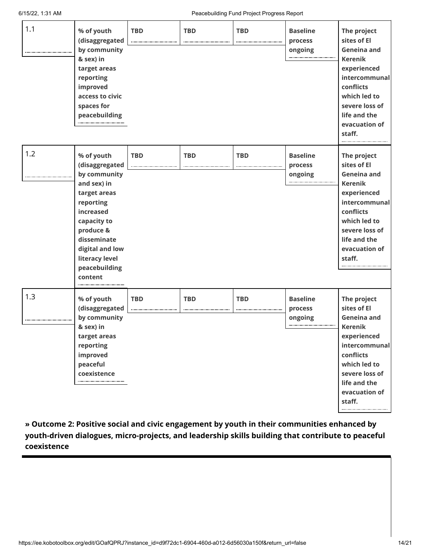| 1.1 | % of youth<br>(disaggregated<br>by community<br>& sex) in<br>target areas<br>reporting<br>improved<br>access to civic<br>spaces for<br>peacebuilding                                                              | <b>TBD</b> | <b>TBD</b> | <b>TBD</b> | <b>Baseline</b><br>process<br>ongoing | The project<br>sites of El<br><b>Geneina and</b><br><b>Kerenik</b><br>experienced<br>intercommunal<br>conflicts<br>which led to<br>severe loss of<br>life and the<br>evacuation of<br>staff.     |
|-----|-------------------------------------------------------------------------------------------------------------------------------------------------------------------------------------------------------------------|------------|------------|------------|---------------------------------------|--------------------------------------------------------------------------------------------------------------------------------------------------------------------------------------------------|
| 1.2 | % of youth<br>(disaggregated<br>by community<br>and sex) in<br>target areas<br>reporting<br>increased<br>capacity to<br>produce &<br>disseminate<br>digital and low<br>literacy level<br>peacebuilding<br>content | <b>TBD</b> | <b>TBD</b> | <b>TBD</b> | <b>Baseline</b><br>process<br>ongoing | The project<br>sites of El<br><b>Geneina and</b><br><b>Kerenik</b><br>experienced<br>intercommunal<br>conflicts<br>which led to<br>severe loss of<br>life and the<br>evacuation of<br>staff.<br> |
| 1.3 | % of youth<br>(disaggregated<br>by community<br>& sex) in<br>target areas<br>reporting<br>improved<br>peaceful<br>coexistence                                                                                     | <b>TBD</b> | <b>TBD</b> | <b>TBD</b> | <b>Baseline</b><br>process<br>ongoing | The project<br>sites of El<br>Geneina and<br><b>Kerenik</b><br>experienced<br>intercommunal<br>conflicts<br>which led to<br>severe loss of<br>life and the<br>evacuation of<br>staff.            |

**» Outcome 2: Positive social and civic engagement by youth in their communities enhanced by youth-driven dialogues, micro-projects, and leadership skills building that contribute to peaceful coexistence**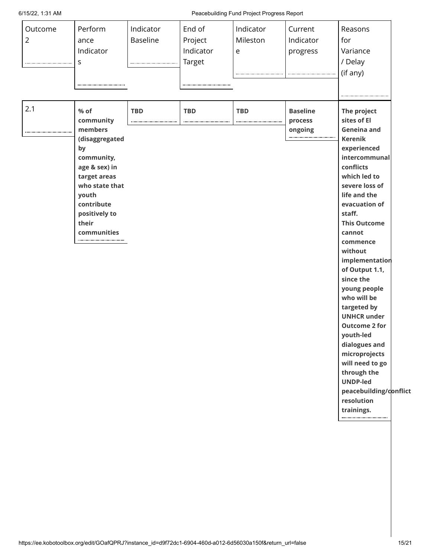6/15/22, 1:31 AM Peacebuilding Fund Project Progress Report

| Indicator<br>Indicator<br>progress<br>e<br><b>Target</b><br>S                                                                                                                                                                                                                                                       | Variance<br>/ Delay<br>(if any)                                                                                                                                                                                                                                                                                                                                                                                                                                                                                                                             |
|---------------------------------------------------------------------------------------------------------------------------------------------------------------------------------------------------------------------------------------------------------------------------------------------------------------------|-------------------------------------------------------------------------------------------------------------------------------------------------------------------------------------------------------------------------------------------------------------------------------------------------------------------------------------------------------------------------------------------------------------------------------------------------------------------------------------------------------------------------------------------------------------|
| 2.1<br>% of<br><b>TBD</b><br><b>TBD</b><br><b>TBD</b><br><b>Baseline</b><br>community<br>process<br>--------------------------------<br>members<br>ongoing<br>(disaggregated<br>by<br>community,<br>age & sex) in<br>target areas<br>who state that<br>youth<br>contribute<br>positively to<br>their<br>communities | The project<br>sites of El<br><b>Geneina and</b><br><b>Kerenik</b><br>experienced<br>intercommunal<br>conflicts<br>which led to<br>severe loss of<br>life and the<br>evacuation of<br>staff.<br><b>This Outcome</b><br>cannot<br>commence<br>without<br>implementation<br>of Output 1.1,<br>since the<br>young people<br>who will be<br>targeted by<br><b>UNHCR under</b><br><b>Outcome 2 for</b><br>youth-led<br>dialogues and<br>microprojects<br>will need to go<br>through the<br><b>UNDP-led</b><br>peacebuilding/conflict<br>resolution<br>trainings. |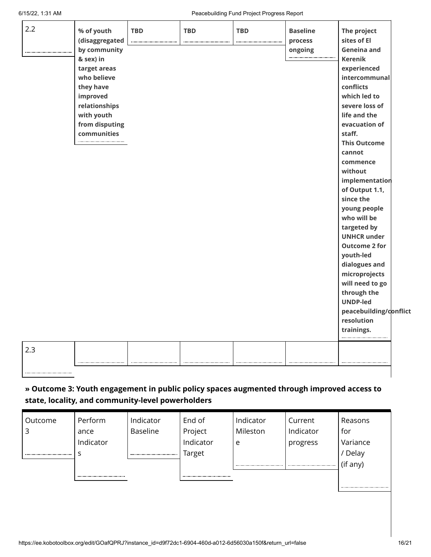| 2.2 | % of youth     | <b>TBD</b> | <b>TBD</b> | <b>TBD</b> | <b>Baseline</b> | The project            |  |
|-----|----------------|------------|------------|------------|-----------------|------------------------|--|
|     | (disaggregated |            |            |            | process         | sites of El            |  |
|     | by community   |            |            |            | ongoing         | <b>Geneina and</b>     |  |
|     | & sex) in      |            |            |            |                 | <b>Kerenik</b>         |  |
|     | target areas   |            |            |            |                 | experienced            |  |
|     | who believe    |            |            |            |                 | intercommunal          |  |
|     | they have      |            |            |            |                 | conflicts              |  |
|     | improved       |            |            |            |                 | which led to           |  |
|     | relationships  |            |            |            |                 | severe loss of         |  |
|     | with youth     |            |            |            |                 | life and the           |  |
|     | from disputing |            |            |            |                 | evacuation of          |  |
|     | communities    |            |            |            |                 | staff.                 |  |
|     |                |            |            |            |                 | <b>This Outcome</b>    |  |
|     |                |            |            |            |                 | cannot                 |  |
|     |                |            |            |            |                 | commence               |  |
|     |                |            |            |            |                 | without                |  |
|     |                |            |            |            |                 | implementation         |  |
|     |                |            |            |            |                 | of Output 1.1,         |  |
|     |                |            |            |            |                 | since the              |  |
|     |                |            |            |            |                 | young people           |  |
|     |                |            |            |            |                 | who will be            |  |
|     |                |            |            |            |                 | targeted by            |  |
|     |                |            |            |            |                 | <b>UNHCR under</b>     |  |
|     |                |            |            |            |                 | <b>Outcome 2 for</b>   |  |
|     |                |            |            |            |                 | youth-led              |  |
|     |                |            |            |            |                 | dialogues and          |  |
|     |                |            |            |            |                 | microprojects          |  |
|     |                |            |            |            |                 | will need to go        |  |
|     |                |            |            |            |                 | through the            |  |
|     |                |            |            |            |                 | <b>UNDP-led</b>        |  |
|     |                |            |            |            |                 | peacebuilding/conflict |  |
|     |                |            |            |            |                 | resolution             |  |
|     |                |            |            |            |                 | trainings.             |  |
| 2.3 |                |            |            |            |                 |                        |  |
|     |                |            |            |            |                 |                        |  |

## **» Outcome 3: Youth engagement in public policy spaces augmented through improved access to state, locality, and community-level powerholders**

| Outcome | Perform   | Indicator       | End of    | Indicator | Current   | Reasons  |
|---------|-----------|-----------------|-----------|-----------|-----------|----------|
|         | ance      | <b>Baseline</b> | Project   | Mileston  | Indicator | for      |
|         | Indicator |                 | Indicator | e         | progress  | Variance |
|         |           |                 | Target    |           |           | Delay    |
|         |           |                 |           |           |           | (if any) |
|         |           |                 |           |           |           |          |
|         |           |                 |           |           |           |          |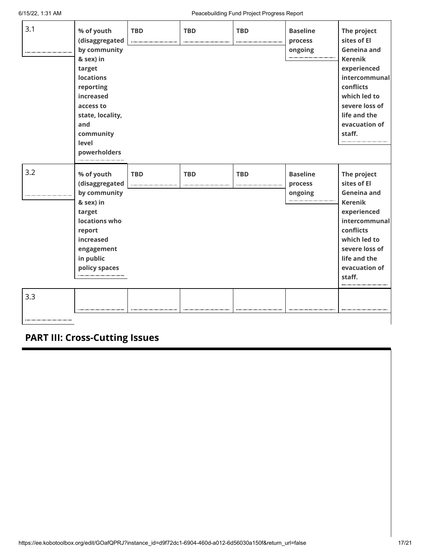| 3.1        | % of youth<br>(disaggregated<br>by community<br>& sex) in<br>target<br><b>locations</b><br>reporting<br>increased<br>access to<br>state, locality,<br>and<br>community<br>level<br>powerholders | <b>TBD</b> | <b>TBD</b> | <b>TBD</b> | <b>Baseline</b><br>process<br>ongoing | The project<br>sites of El<br>Geneina and<br><b>Kerenik</b><br>experienced<br>intercommunal<br>conflicts<br>which led to<br>severe loss of<br>life and the<br>evacuation of<br>staff.        |
|------------|-------------------------------------------------------------------------------------------------------------------------------------------------------------------------------------------------|------------|------------|------------|---------------------------------------|----------------------------------------------------------------------------------------------------------------------------------------------------------------------------------------------|
| 3.2<br>3.3 | % of youth<br>(disaggregated<br>by community<br>& sex) in<br>target<br>locations who<br>report<br>increased<br>engagement<br>in public<br>policy spaces                                         | <b>TBD</b> | <b>TBD</b> | <b>TBD</b> | <b>Baseline</b><br>process<br>ongoing | The project<br>sites of El<br><b>Geneina and</b><br><b>Kerenik</b><br>experienced<br>intercommunal<br>conflicts<br>which led to<br>severe loss of<br>life and the<br>evacuation of<br>staff. |

**PART III: Cross-Cutting Issues**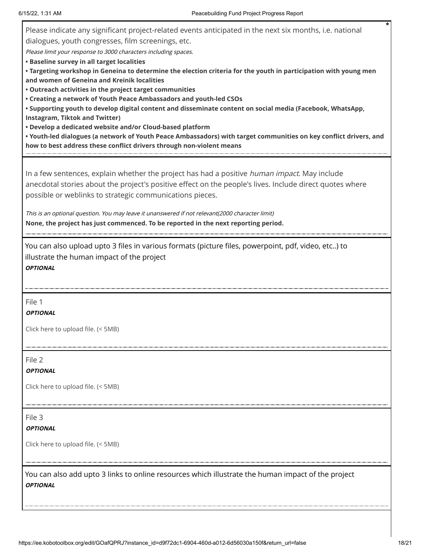Please indicate any significant project-related events anticipated in the next six months, i.e. national dialogues, youth congresses, film screenings, etc. Please limit your response to 3000 characters including spaces. **• Baseline survey in all target localities • Targeting workshop in Geneina to determine the election criteria for the youth in participation with young men and women of Geneina and Kreinik localities • Outreach activities in the project target communities • Creating a network of Youth Peace Ambassadors and youth-led CSOs • Supporting youth to develop digital content and disseminate content on social media (Facebook, WhatsApp, Instagram, Tiktok and Twitter) • Develop a dedicated website and/or Cloud-based platform • Youth-led dialogues (a network of Youth Peace Ambassadors) with target communities on key conflict drivers, and how to best address these conflict drivers through non-violent means** In a few sentences, explain whether the project has had a positive human impact. May include

anecdotal stories about the project's positive effect on the people's lives. Include direct quotes where possible or weblinks to strategic communications pieces.

This is an optional question. You may leave it unanswered if not relevant(2000 character limit) **None, the project has just commenced. To be reported in the next reporting period.**

You can also upload upto 3 files in various formats (picture files, powerpoint, pdf, video, etc..) to illustrate the human impact of the project **OPTIONAL**

File 1

#### **OPTIONAL**

Click here to upload file. (< 5MB)

File 2

#### **OPTIONAL**

Click here to upload file. (< 5MB)

### File 3

**OPTIONAL**

Click here to upload file. (< 5MB)

You can also add upto 3 links to online resources which illustrate the human impact of the project **OPTIONAL**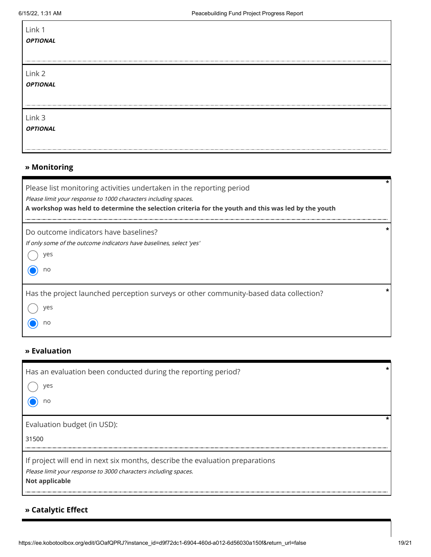| Link 1<br><i>OPTIONAL</i> |  |
|---------------------------|--|
| Link 2<br><i>OPTIONAL</i> |  |
| Link 3<br><b>OPTIONAL</b> |  |

### **» Monitoring**

| Please list monitoring activities undertaken in the reporting period<br>Please limit your response to 1000 characters including spaces.<br>A workshop was held to determine the selection criteria for the youth and this was led by the youth | $\star$ |
|------------------------------------------------------------------------------------------------------------------------------------------------------------------------------------------------------------------------------------------------|---------|
| Do outcome indicators have baselines?<br>If only some of the outcome indicators have baselines, select 'yes'<br>ves<br>no                                                                                                                      | $\star$ |
| Has the project launched perception surveys or other community-based data collection?<br>ves<br>no                                                                                                                                             |         |

### **» Evaluation**

| Has an evaluation been conducted during the reporting period?<br>ves<br>no                                                                                               |  |
|--------------------------------------------------------------------------------------------------------------------------------------------------------------------------|--|
| Evaluation budget (in USD):<br>31500                                                                                                                                     |  |
| If project will end in next six months, describe the evaluation preparations<br>Please limit your response to 3000 characters including spaces.<br><b>Not applicable</b> |  |

## **» Catalytic Effect**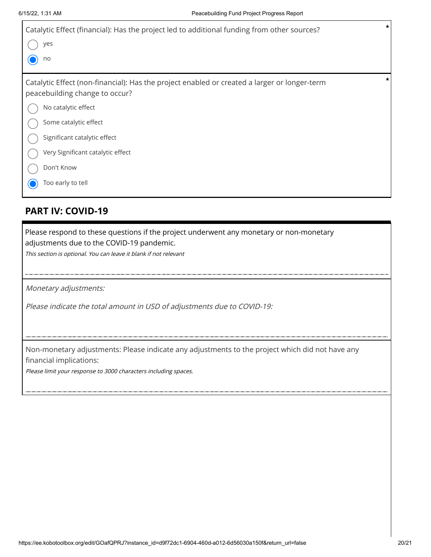| Catalytic Effect (financial): Has the project led to additional funding from other sources?<br>yes<br>no                                                                                                                                                                               | $\star$ |
|----------------------------------------------------------------------------------------------------------------------------------------------------------------------------------------------------------------------------------------------------------------------------------------|---------|
| Catalytic Effect (non-financial): Has the project enabled or created a larger or longer-term<br>peacebuilding change to occur?<br>No catalytic effect<br>Some catalytic effect<br>Significant catalytic effect<br>Very Significant catalytic effect<br>Don't Know<br>Too early to tell | $\star$ |

## **PART IV: COVID-19**

Please respond to these questions if the project underwent any monetary or non-monetary adjustments due to the COVID-19 pandemic.

This section is optional. You can leave it blank if not relevant

Monetary adjustments:

Please indicate the total amount in USD of adjustments due to COVID-19:

Non-monetary adjustments: Please indicate any adjustments to the project which did not have any financial implications:

Please limit your response to 3000 characters including spaces.